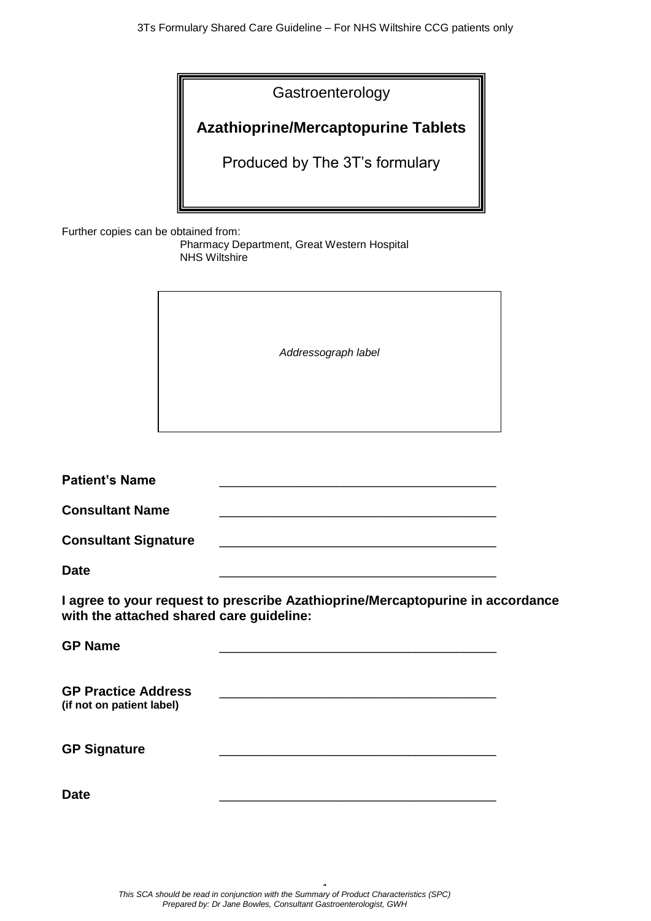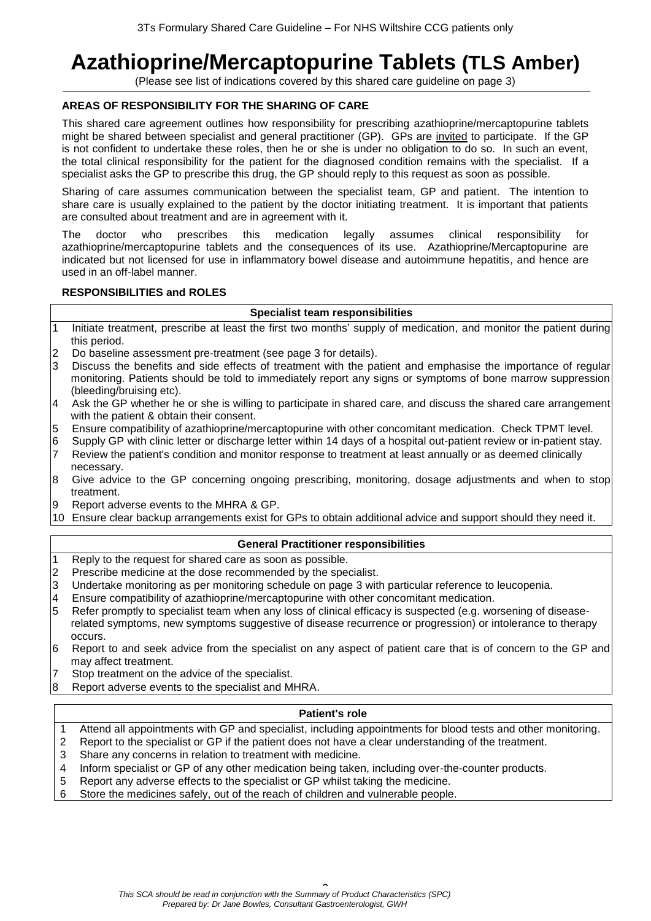# **Azathioprine/Mercaptopurine Tablets (TLS Amber)**

(Please see list of indications covered by this shared care guideline on page 3)

## **AREAS OF RESPONSIBILITY FOR THE SHARING OF CARE**

This shared care agreement outlines how responsibility for prescribing azathioprine/mercaptopurine tablets might be shared between specialist and general practitioner (GP). GPs are invited to participate. If the GP is not confident to undertake these roles, then he or she is under no obligation to do so. In such an event, the total clinical responsibility for the patient for the diagnosed condition remains with the specialist. If a specialist asks the GP to prescribe this drug, the GP should reply to this request as soon as possible.

Sharing of care assumes communication between the specialist team, GP and patient. The intention to share care is usually explained to the patient by the doctor initiating treatment. It is important that patients are consulted about treatment and are in agreement with it.

The doctor who prescribes this medication legally assumes clinical responsibility for azathioprine/mercaptopurine tablets and the consequences of its use. Azathioprine/Mercaptopurine are indicated but not licensed for use in inflammatory bowel disease and autoimmune hepatitis, and hence are used in an off-label manner.

### **RESPONSIBILITIES and ROLES**

#### **Specialist team responsibilities**

- 1 Initiate treatment, prescribe at least the first two months' supply of medication, and monitor the patient during this period.
- 2 Do baseline assessment pre-treatment (see page 3 for details).
- 3 Discuss the benefits and side effects of treatment with the patient and emphasise the importance of regular monitoring. Patients should be told to immediately report any signs or symptoms of bone marrow suppression (bleeding/bruising etc).
- 4 Ask the GP whether he or she is willing to participate in shared care, and discuss the shared care arrangement with the patient & obtain their consent.
- 5 Ensure compatibility of azathioprine/mercaptopurine with other concomitant medication. Check TPMT level.
- 6 Supply GP with clinic letter or discharge letter within 14 days of a hospital out-patient review or in-patient stay.
- 7 Review the patient's condition and monitor response to treatment at least annually or as deemed clinically necessary.
- 8 Give advice to the GP concerning ongoing prescribing, monitoring, dosage adjustments and when to stop treatment.
- 9 Report adverse events to the MHRA & GP.
- 10 Ensure clear backup arrangements exist for GPs to obtain additional advice and support should they need it.

## **General Practitioner responsibilities**

- 1 Reply to the request for shared care as soon as possible.
- 2 Prescribe medicine at the dose recommended by the specialist.
- 3 Undertake monitoring as per monitoring schedule on page 3 with particular reference to leucopenia.
- 4 Ensure compatibility of azathioprine/mercaptopurine with other concomitant medication.
- 5 Refer promptly to specialist team when any loss of clinical efficacy is suspected (e.g. worsening of diseaserelated symptoms, new symptoms suggestive of disease recurrence or progression) or intolerance to therapy occurs.
- 6 Report to and seek advice from the specialist on any aspect of patient care that is of concern to the GP and may affect treatment.
- 7 Stop treatment on the advice of the specialist.
- 8 Report adverse events to the specialist and MHRA.

#### **Patient's role**

- 1 Attend all appointments with GP and specialist, including appointments for blood tests and other monitoring.
- 2 Report to the specialist or GP if the patient does not have a clear understanding of the treatment.
- 3 Share any concerns in relation to treatment with medicine.
- 4 Inform specialist or GP of any other medication being taken, including over-the-counter products.
- 5 Report any adverse effects to the specialist or GP whilst taking the medicine.
- 6 Store the medicines safely, out of the reach of children and vulnerable people.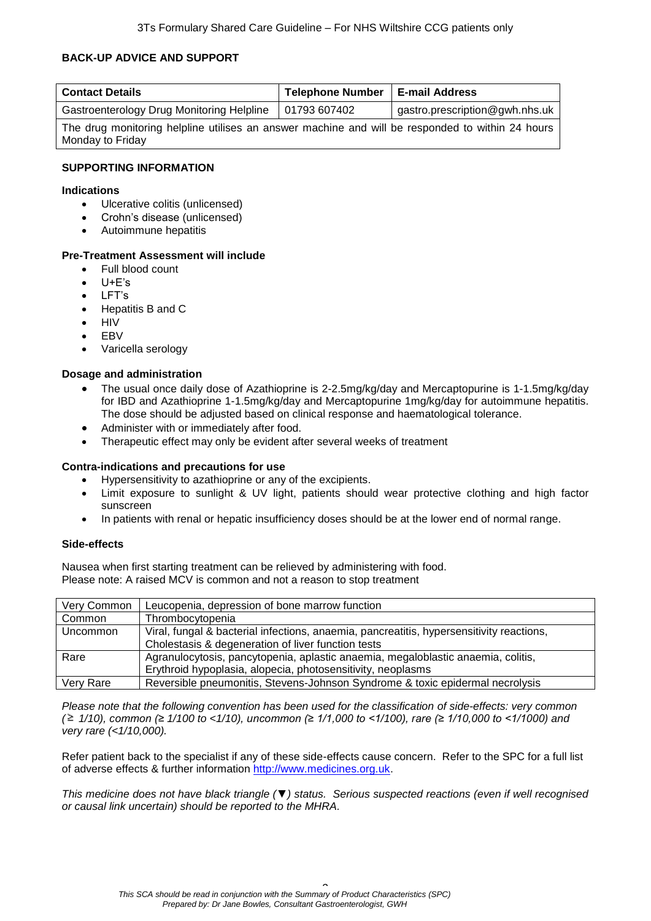## **BACK-UP ADVICE AND SUPPORT**

| <b>Contact Details</b>                                                                           | <b>Telephone Number</b> | <b>E-mail Address</b>          |  |  |
|--------------------------------------------------------------------------------------------------|-------------------------|--------------------------------|--|--|
| Gastroenterology Drug Monitoring Helpline                                                        | 01793 607402            | gastro.prescription@gwh.nhs.uk |  |  |
| The drug monitoring helpline utilises an answer machine and will be responded to within 24 hours |                         |                                |  |  |
| Monday to Friday                                                                                 |                         |                                |  |  |

#### **SUPPORTING INFORMATION**

#### **Indications**

- Ulcerative colitis (unlicensed)
- Crohn's disease (unlicensed)
- Autoimmune hepatitis

#### **Pre-Treatment Assessment will include**

- Full blood count
- U+E's
- $\bullet$  LFT's
- Hepatitis B and C
- $\bullet$  HIV
- EBV
- Varicella serology

#### **Dosage and administration**

- The usual once daily dose of Azathioprine is 2-2.5mg/kg/day and Mercaptopurine is 1-1.5mg/kg/day for IBD and Azathioprine 1-1.5mg/kg/day and Mercaptopurine 1mg/kg/day for autoimmune hepatitis. The dose should be adjusted based on clinical response and haematological tolerance.
- Administer with or immediately after food.
- Therapeutic effect may only be evident after several weeks of treatment

#### **Contra-indications and precautions for use**

- Hypersensitivity to azathioprine or any of the excipients.
- Limit exposure to sunlight & UV light, patients should wear protective clothing and high factor sunscreen
- In patients with renal or hepatic insufficiency doses should be at the lower end of normal range.

#### **Side-effects**

Nausea when first starting treatment can be relieved by administering with food. Please note: A raised MCV is common and not a reason to stop treatment

| Very Common | Leucopenia, depression of bone marrow function                                           |
|-------------|------------------------------------------------------------------------------------------|
| Common      | Thrombocytopenia                                                                         |
| Uncommon    | Viral, fungal & bacterial infections, anaemia, pancreatitis, hypersensitivity reactions, |
|             | Cholestasis & degeneration of liver function tests                                       |
| Rare        | Agranulocytosis, pancytopenia, aplastic anaemia, megaloblastic anaemia, colitis,         |
|             | Erythroid hypoplasia, alopecia, photosensitivity, neoplasms                              |
| Very Rare   | Reversible pneumonitis, Stevens-Johnson Syndrome & toxic epidermal necrolysis            |

*Please note that the following convention has been used for the classification of side-effects: very common ( 1/10), common (≥ 1/100 to <1/10), uncommon (≥ 1/1,000 to <1/100), rare (≥ 1/10,000 to <1/1000) and very rare (<1/10,000).*

Refer patient back to the specialist if any of these side-effects cause concern. Refer to the SPC for a full list of adverse effects & further information [http://www.medicines.org.uk.](http://www.medicines.org.uk/)

*This medicine does not have black triangle (▼) status. Serious suspected reactions (even if well recognised or causal link uncertain) should be reported to the MHRA.*